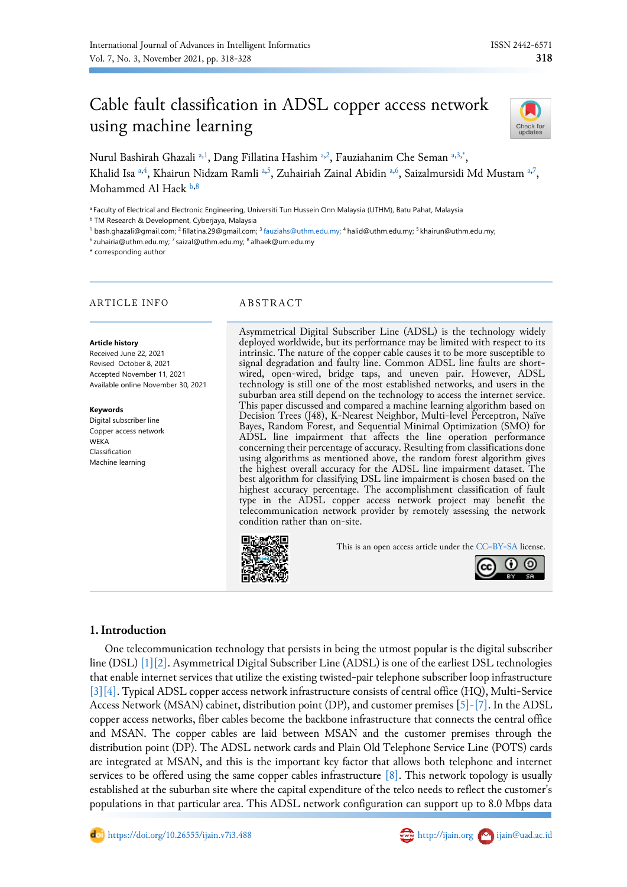# Cable fault classification in ADSL copper access network using machine learning



<span id="page-0-5"></span><span id="page-0-0"></span><sup>a</sup> Faculty of Electrical and Electronic Engineering, Universiti Tun Hussein Onn Malaysia (UTHM), Batu Pahat, Malaysia <sup>b</sup> TM Research & Development, Cyberjaya, Malaysia

<span id="page-0-2"></span><span id="page-0-1"></span><sup>1</sup> bash.ghazali@gmail.com; <sup>2</sup> fillatina.29@gmail.com; <sup>3</sup> [fauziahs@uthm.edu.my;](mailto:fauziahs@uthm.edu.my) <sup>4</sup> halid@uthm.edu.my; <sup>5</sup> khairun@uthm.edu.my;

<sup>6</sup> zuhairia@uthm.edu.my; <sup>7</sup> saizal@uthm.edu.my; <sup>8</sup> alhaek@um.edu.my

<span id="page-0-4"></span>\* corresponding author

#### ARTICLE INFO ABSTRACT

#### **Article history**

Received June 22, 2021 Revised October 8, 2021 Accepted November 11, 2021 Available online November 30, 2021

**Keywords** Digital subscriber line Copper access network

WEKA Classification Machine learning

<span id="page-0-3"></span>Asymmetrical Digital Subscriber Line (ADSL) is the technology widely deployed worldwide, but its performance may be limited with respect to its intrinsic. The nature of the copper cable causes it to be more susceptible to signal degradation and faulty line. Common ADSL line faults are shortwired, open-wired, bridge taps, and uneven pair. However, ADSL technology is still one of the most established networks, and users in the suburban area still depend on the technology to access the internet service. This paper discussed and compared a machine learning algorithm based on Decision Trees (J48), K-Nearest Neighbor, Multi-level Perceptron, Naïve Bayes, Random Forest, and Sequential Minimal Optimization (SMO) for ADSL line impairment that affects the line operation performance concerning their percentage of accuracy. Resulting from classifications done using algorithms as mentioned above, the random forest algorithm gives the highest overall accuracy for the ADSL line impairment dataset. The best algorithm for classifying DSL line impairment is chosen based on the highest accuracy percentage. The accomplishment classification of fault type in the ADSL copper access network project may benefit the telecommunication network provider by remotely assessing the network condition rather than on-site.



This is an open access article under the CC–[BY-SA](http://creativecommons.org/licenses/by-sa/4.0/) license.



### **1.Introduction**

One telecommunication technology that persists in being the utmost popular is the digital subscriber line (DSL[\) \[1\]](#page-8-0)[\[2\].](#page-8-1) Asymmetrical Digital Subscriber Line (ADSL) is one of the earliest DSL technologies that enable internet services that utilize the existing twisted-pair telephone subscriber loop infrastructure [\[3\]](#page-8-2)[\[4\].](#page-8-3) Typical ADSL copper access network infrastructure consists of central office (HQ), Multi-Service Access Network (MSAN) cabinet, distribution point (DP), and customer premises [\[5\]-\[7\].](#page-8-4) In the ADSL copper access networks, fiber cables become the backbone infrastructure that connects the central office and MSAN. The copper cables are laid between MSAN and the customer premises through the distribution point (DP). The ADSL network cards and Plain Old Telephone Service Line (POTS) cards are integrated at MSAN, and this is the important key factor that allows both telephone and internet services to be offered using the same copper cables infrastructure  $[8]$ . This network topology is usually established at the suburban site where the capital expenditure of the telco needs to reflect the customer's populations in that particular area. This ADSL network configuration can support up to 8.0 Mbps data



Check for<br>updates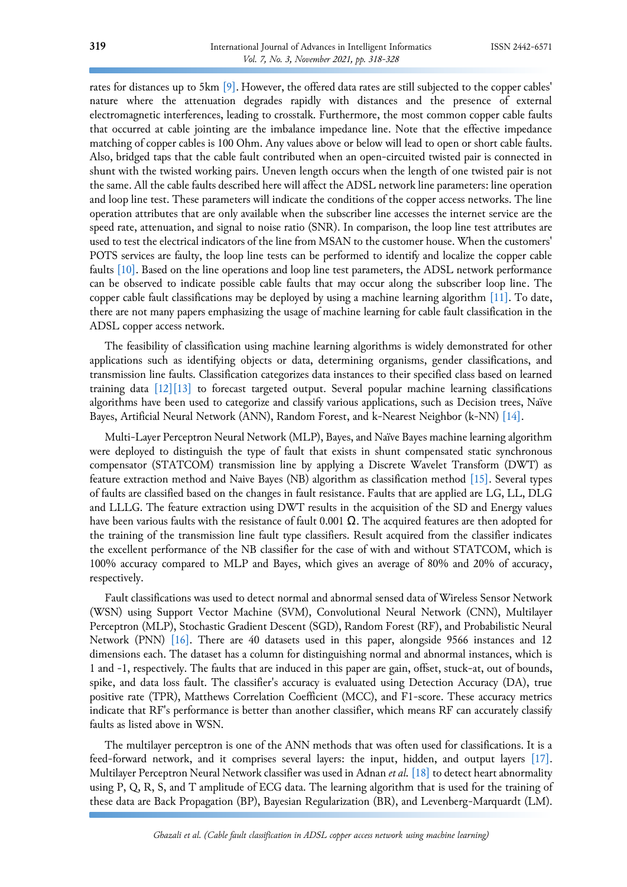rates for distances up to 5km [\[9\].](#page-9-1) However, the offered data rates are still subjected to the copper cables' nature where the attenuation degrades rapidly with distances and the presence of external electromagnetic interferences, leading to crosstalk. Furthermore, the most common copper cable faults that occurred at cable jointing are the imbalance impedance line. Note that the effective impedance matching of copper cables is 100 Ohm. Any values above or below will lead to open or short cable faults. Also, bridged taps that the cable fault contributed when an open-circuited twisted pair is connected in shunt with the twisted working pairs. Uneven length occurs when the length of one twisted pair is not the same. All the cable faults described here will affect the ADSL network line parameters: line operation and loop line test. These parameters will indicate the conditions of the copper access networks. The line operation attributes that are only available when the subscriber line accesses the internet service are the speed rate, attenuation, and signal to noise ratio (SNR). In comparison, the loop line test attributes are used to test the electrical indicators of the line from MSAN to the customer house. When the customers' POTS services are faulty, the loop line tests can be performed to identify and localize the copper cable faults [\[10\].](#page-9-2) Based on the line operations and loop line test parameters, the ADSL network performance can be observed to indicate possible cable faults that may occur along the subscriber loop line. The copper cable fault classifications may be deployed by using a machine learning algorithm  $[11]$ . To date, there are not many papers emphasizing the usage of machine learning for cable fault classification in the ADSL copper access network.

The feasibility of classification using machine learning algorithms is widely demonstrated for other applications such as identifying objects or data, determining organisms, gender classifications, and transmission line faults. Classification categorizes data instances to their specified class based on learned training data  $[12][13]$  $[12][13]$  to forecast targeted output. Several popular machine learning classifications algorithms have been used to categorize and classify various applications, such as Decision trees, Naïve Bayes, Artificial Neural Network (ANN), Random Forest, and k-Nearest Neighbor (k-NN[\) \[14\].](#page-9-6)

Multi-Layer Perceptron Neural Network (MLP), Bayes, and Naïve Bayes machine learning algorithm were deployed to distinguish the type of fault that exists in shunt compensated static synchronous compensator (STATCOM) transmission line by applying a Discrete Wavelet Transform (DWT) as feature extraction method and Naive Bayes (NB) algorithm as classification method [\[15\].](#page-9-7) Several types of faults are classified based on the changes in fault resistance. Faults that are applied are LG, LL, DLG and LLLG. The feature extraction using DWT results in the acquisition of the SD and Energy values have been various faults with the resistance of fault 0.001  $\Omega$ . The acquired features are then adopted for the training of the transmission line fault type classifiers. Result acquired from the classifier indicates the excellent performance of the NB classifier for the case of with and without STATCOM, which is 100% accuracy compared to MLP and Bayes, which gives an average of 80% and 20% of accuracy, respectively.

Fault classifications was used to detect normal and abnormal sensed data of Wireless Sensor Network (WSN) using Support Vector Machine (SVM), Convolutional Neural Network (CNN), Multilayer Perceptron (MLP), Stochastic Gradient Descent (SGD), Random Forest (RF), and Probabilistic Neural Network (PNN) [\[16\].](#page-9-8) There are 40 datasets used in this paper, alongside 9566 instances and 12 dimensions each. The dataset has a column for distinguishing normal and abnormal instances, which is 1 and -1, respectively. The faults that are induced in this paper are gain, offset, stuck-at, out of bounds, spike, and data loss fault. The classifier's accuracy is evaluated using Detection Accuracy (DA), true positive rate (TPR), Matthews Correlation Coefficient (MCC), and F1-score. These accuracy metrics indicate that RF's performance is better than another classifier, which means RF can accurately classify faults as listed above in WSN.

The multilayer perceptron is one of the ANN methods that was often used for classifications. It is a feed-forward network, and it comprises several layers: the input, hidden, and output layers [\[17\].](#page-9-9) Multilayer Perceptron Neural Network classifier was used in Adnan *et al.* [\[18\] t](#page-9-10)o detect heart abnormality using P, Q, R, S, and T amplitude of ECG data. The learning algorithm that is used for the training of these data are Back Propagation (BP), Bayesian Regularization (BR), and Levenberg-Marquardt (LM).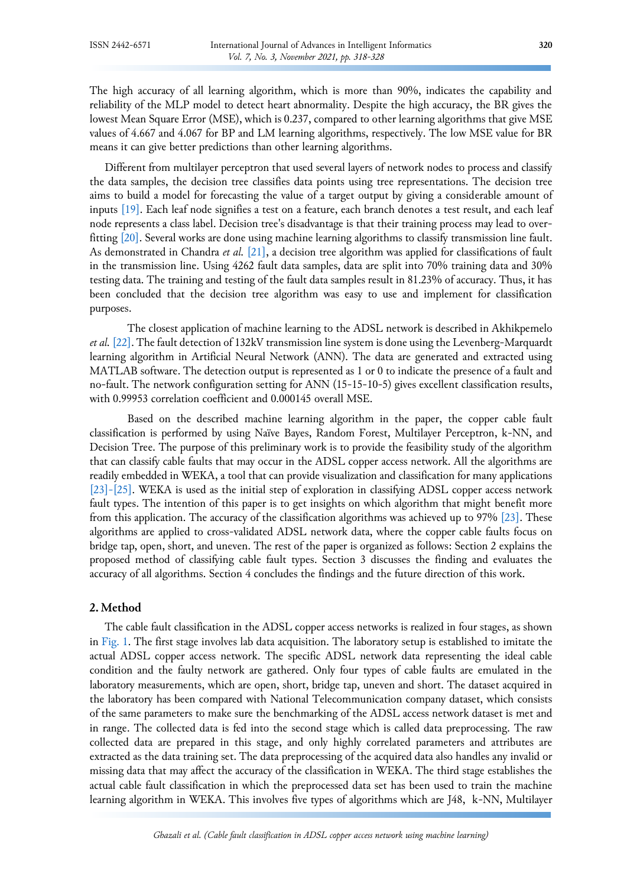The high accuracy of all learning algorithm, which is more than 90%, indicates the capability and reliability of the MLP model to detect heart abnormality. Despite the high accuracy, the BR gives the lowest Mean Square Error (MSE), which is 0.237, compared to other learning algorithms that give MSE values of 4.667 and 4.067 for BP and LM learning algorithms, respectively. The low MSE value for BR means it can give better predictions than other learning algorithms.

Different from multilayer perceptron that used several layers of network nodes to process and classify the data samples, the decision tree classifies data points using tree representations. The decision tree aims to build a model for forecasting the value of a target output by giving a considerable amount of inputs [\[19\].](#page-9-11) Each leaf node signifies a test on a feature, each branch denotes a test result, and each leaf node represents a class label. Decision tree's disadvantage is that their training process may lead to overfitting [\[20\].](#page-9-12) Several works are done using machine learning algorithms to classify transmission line fault. As demonstrated in Chandra *et al.* [\[21\],](#page-9-13) a decision tree algorithm was applied for classifications of fault in the transmission line. Using 4262 fault data samples, data are split into 70% training data and 30% testing data. The training and testing of the fault data samples result in 81.23% of accuracy. Thus, it has been concluded that the decision tree algorithm was easy to use and implement for classification purposes.

The closest application of machine learning to the ADSL network is described in Akhikpemelo *et al.* [\[22\].](#page-9-14) The fault detection of 132kV transmission line system is done using the Levenberg-Marquardt learning algorithm in Artificial Neural Network (ANN). The data are generated and extracted using MATLAB software. The detection output is represented as 1 or 0 to indicate the presence of a fault and no-fault. The network configuration setting for ANN (15-15-10-5) gives excellent classification results, with 0.99953 correlation coefficient and 0.000145 overall MSE.

Based on the described machine learning algorithm in the paper, the copper cable fault classification is performed by using Naïve Bayes, Random Forest, Multilayer Perceptron, k-NN, and Decision Tree. The purpose of this preliminary work is to provide the feasibility study of the algorithm that can classify cable faults that may occur in the ADSL copper access network. All the algorithms are readily embedded in WEKA, a tool that can provide visualization and classification for many applications [\[23\]-\[25\].](#page-9-15) WEKA is used as the initial step of exploration in classifying ADSL copper access network fault types. The intention of this paper is to get insights on which algorithm that might benefit more from this application. The accuracy of the classification algorithms was achieved up to 97% [\[23\].](#page-9-15) These algorithms are applied to cross-validated ADSL network data, where the copper cable faults focus on bridge tap, open, short, and uneven. The rest of the paper is organized as follows: Section 2 explains the proposed method of classifying cable fault types. Section 3 discusses the finding and evaluates the accuracy of all algorithms. Section 4 concludes the findings and the future direction of this work.

### **2. Method**

The cable fault classification in the ADSL copper access networks is realized in four stages, as shown in [Fig.](#page-3-0) 1. The first stage involves lab data acquisition. The laboratory setup is established to imitate the actual ADSL copper access network. The specific ADSL network data representing the ideal cable condition and the faulty network are gathered. Only four types of cable faults are emulated in the laboratory measurements, which are open, short, bridge tap, uneven and short. The dataset acquired in the laboratory has been compared with National Telecommunication company dataset, which consists of the same parameters to make sure the benchmarking of the ADSL access network dataset is met and in range. The collected data is fed into the second stage which is called data preprocessing. The raw collected data are prepared in this stage, and only highly correlated parameters and attributes are extracted as the data training set. The data preprocessing of the acquired data also handles any invalid or missing data that may affect the accuracy of the classification in WEKA. The third stage establishes the actual cable fault classification in which the preprocessed data set has been used to train the machine learning algorithm in WEKA. This involves five types of algorithms which are J48, k-NN, Multilayer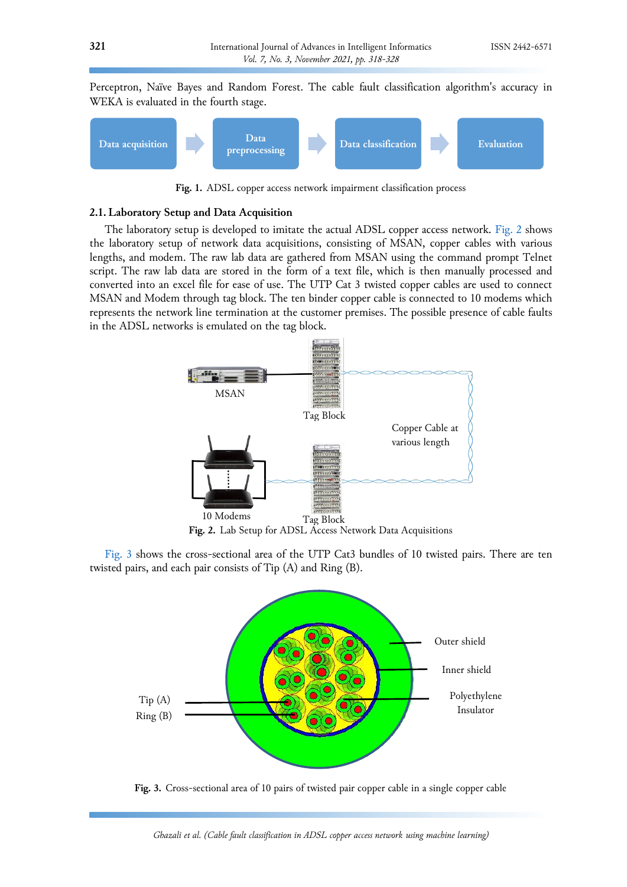Perceptron, Naïve Bayes and Random Forest. The cable fault classification algorithm's accuracy in WEKA is evaluated in the fourth stage.

<span id="page-3-0"></span>

**Fig. 1.** ADSL copper access network impairment classification process

#### **2.1. Laboratory Setup and Data Acquisition**

The laboratory setup is developed to imitate the actual ADSL copper access network. [Fig.](#page-3-1) 2 shows the laboratory setup of network data acquisitions, consisting of MSAN, copper cables with various lengths, and modem. The raw lab data are gathered from MSAN using the command prompt Telnet script. The raw lab data are stored in the form of a text file, which is then manually processed and converted into an excel file for ease of use. The UTP Cat 3 twisted copper cables are used to connect MSAN and Modem through tag block. The ten binder copper cable is connected to 10 modems which represents the network line termination at the customer premises. The possible presence of cable faults in the ADSL networks is emulated on the tag block.

<span id="page-3-1"></span>

<span id="page-3-2"></span>**Fig. 2.** Lab Setup for ADSL Access Network Data Acquisitions

[Fig.](#page-3-2) 3 shows the cross-sectional area of the UTP Cat3 bundles of 10 twisted pairs. There are ten twisted pairs, and each pair consists of Tip (A) and Ring (B).



**Fig. 3.** Cross-sectional area of 10 pairs of twisted pair copper cable in a single copper cable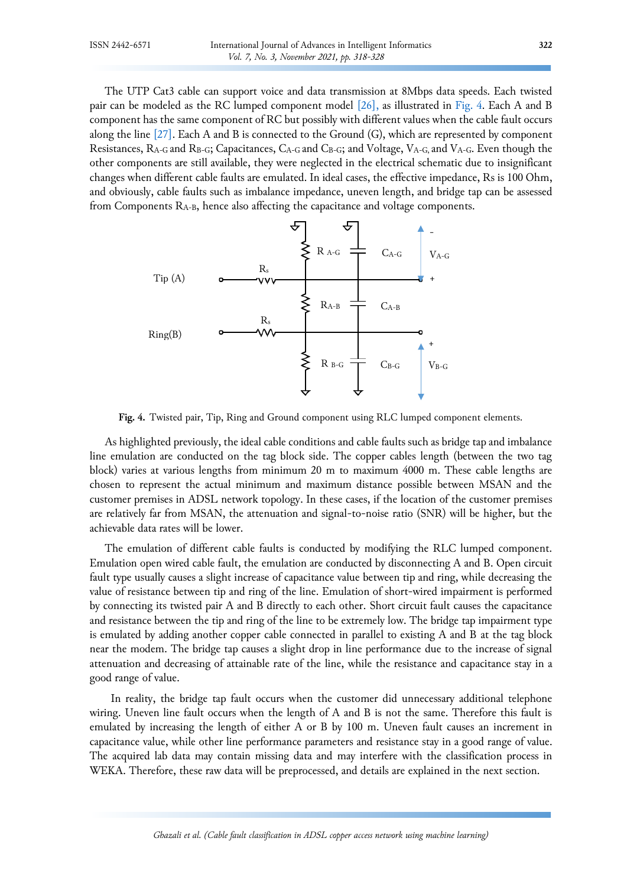The UTP Cat3 cable can support voice and data transmission at 8Mbps data speeds. Each twisted pair can be modeled as the RC lumped component model [\[26\],](#page-10-0) as illustrated in [Fig. 4.](#page-4-0) Each A and B component has the same component of RC but possibly with different values when the cable fault occurs along the line [\[27\].](#page-10-1) Each A and B is connected to the Ground (G), which are represented by component Resistances, R<sub>A-G</sub> and R<sub>B-G</sub>; Capacitances, C<sub>A-G</sub> and C<sub>B-G</sub>; and Voltage, V<sub>A-G</sub>, and V<sub>A-G</sub>. Even though the other components are still available, they were neglected in the electrical schematic due to insignificant changes when different cable faults are emulated. In ideal cases, the effective impedance, Rs is 100 Ohm, and obviously, cable faults such as imbalance impedance, uneven length, and bridge tap can be assessed from Components RA-B, hence also affecting the capacitance and voltage components.

<span id="page-4-0"></span>

**Fig. 4.** Twisted pair, Tip, Ring and Ground component using RLC lumped component elements.

As highlighted previously, the ideal cable conditions and cable faults such as bridge tap and imbalance line emulation are conducted on the tag block side. The copper cables length (between the two tag block) varies at various lengths from minimum 20 m to maximum 4000 m. These cable lengths are chosen to represent the actual minimum and maximum distance possible between MSAN and the customer premises in ADSL network topology. In these cases, if the location of the customer premises are relatively far from MSAN, the attenuation and signal-to-noise ratio (SNR) will be higher, but the achievable data rates will be lower.

The emulation of different cable faults is conducted by modifying the RLC lumped component. Emulation open wired cable fault, the emulation are conducted by disconnecting A and B. Open circuit fault type usually causes a slight increase of capacitance value between tip and ring, while decreasing the value of resistance between tip and ring of the line. Emulation of short-wired impairment is performed by connecting its twisted pair A and B directly to each other. Short circuit fault causes the capacitance and resistance between the tip and ring of the line to be extremely low. The bridge tap impairment type is emulated by adding another copper cable connected in parallel to existing A and B at the tag block near the modem. The bridge tap causes a slight drop in line performance due to the increase of signal attenuation and decreasing of attainable rate of the line, while the resistance and capacitance stay in a good range of value.

 In reality, the bridge tap fault occurs when the customer did unnecessary additional telephone wiring. Uneven line fault occurs when the length of A and B is not the same. Therefore this fault is emulated by increasing the length of either A or B by 100 m. Uneven fault causes an increment in capacitance value, while other line performance parameters and resistance stay in a good range of value. The acquired lab data may contain missing data and may interfere with the classification process in WEKA. Therefore, these raw data will be preprocessed, and details are explained in the next section.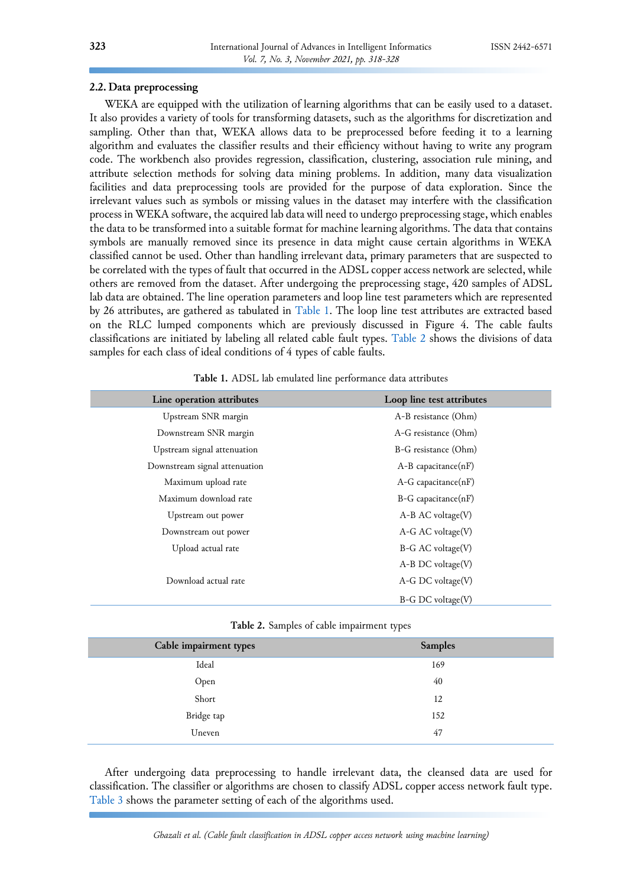#### **2.2. Data preprocessing**

WEKA are equipped with the utilization of learning algorithms that can be easily used to a dataset. It also provides a variety of tools for transforming datasets, such as the algorithms for discretization and sampling. Other than that, WEKA allows data to be preprocessed before feeding it to a learning algorithm and evaluates the classifier results and their efficiency without having to write any program code. The workbench also provides regression, classification, clustering, association rule mining, and attribute selection methods for solving data mining problems. In addition, many data visualization facilities and data preprocessing tools are provided for the purpose of data exploration. Since the irrelevant values such as symbols or missing values in the dataset may interfere with the classification process in WEKA software, the acquired lab data will need to undergo preprocessing stage, which enables the data to be transformed into a suitable format for machine learning algorithms. The data that contains symbols are manually removed since its presence in data might cause certain algorithms in WEKA classified cannot be used. Other than handling irrelevant data, primary parameters that are suspected to be correlated with the types of fault that occurred in the ADSL copper access network are selected, while others are removed from the dataset. After undergoing the preprocessing stage, 420 samples of ADSL lab data are obtained. The line operation parameters and loop line test parameters which are represented by 26 attributes, are gathered as tabulated in [Table 1.](#page-5-0) The loop line test attributes are extracted based on the RLC lumped components which are previously discussed in Figure 4. The cable faults classifications are initiated by labeling all related cable fault types. [Table 2](#page-5-1) shows the divisions of data samples for each class of ideal conditions of 4 types of cable faults.

<span id="page-5-0"></span>

| Line operation attributes     | Loop line test attributes                                                |  |  |
|-------------------------------|--------------------------------------------------------------------------|--|--|
| Upstream SNR margin           | A-B resistance (Ohm)                                                     |  |  |
| Downstream SNR margin         | A-G resistance (Ohm)<br>B-G resistance (Ohm)<br>$A-B$ capacitance $(nF)$ |  |  |
| Upstream signal attenuation   |                                                                          |  |  |
| Downstream signal attenuation |                                                                          |  |  |
| Maximum upload rate           | $A-G$ capacitance $(nF)$                                                 |  |  |
| Maximum download rate         | $B-G$ capacitance $(nF)$                                                 |  |  |
| Upstream out power            | $A-B AC voltage(V)$                                                      |  |  |
| Downstream out power          | $A-G AC$ voltage $(V)$<br>$B-G AC$ voltage $(V)$                         |  |  |
| Upload actual rate            |                                                                          |  |  |
|                               | $A-B$ DC voltage $(V)$                                                   |  |  |
| Download actual rate          | $A-G$ DC voltage $(V)$                                                   |  |  |
|                               | $B-G DC voltage(V)$                                                      |  |  |

**Table 1.** ADSL lab emulated line performance data attributes

|  |  |  | Table 2. Samples of cable impairment types |  |
|--|--|--|--------------------------------------------|--|
|--|--|--|--------------------------------------------|--|

<span id="page-5-1"></span>

| Cable impairment types | <b>Samples</b> |
|------------------------|----------------|
| Ideal                  | 169            |
| Open                   | 40             |
| Short                  | 12             |
| Bridge tap             | 152            |
| Uneven                 | 47             |

After undergoing data preprocessing to handle irrelevant data, the cleansed data are used for classification. The classifier or algorithms are chosen to classify ADSL copper access network fault type. [Table 3](#page-6-0) shows the parameter setting of each of the algorithms used.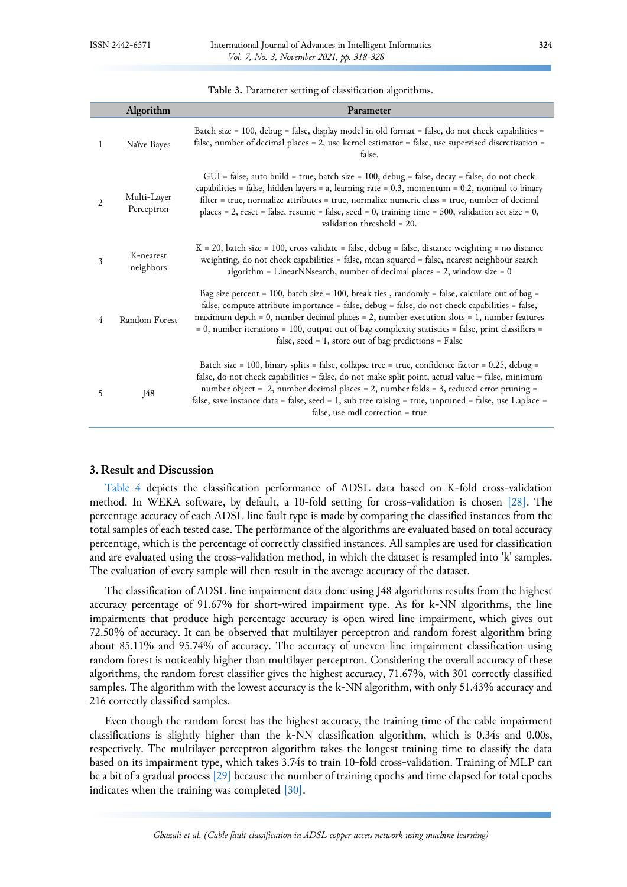**Table 3.** Parameter setting of classification algorithms.

<span id="page-6-0"></span>

|                | Algorithm                 | Parameter                                                                                                                                                                                                                                                                                                                                                                                                                                                                |
|----------------|---------------------------|--------------------------------------------------------------------------------------------------------------------------------------------------------------------------------------------------------------------------------------------------------------------------------------------------------------------------------------------------------------------------------------------------------------------------------------------------------------------------|
| 1              | Naïve Bayes               | Batch size = 100, debug = false, display model in old format = false, do not check capabilities =<br>false, number of decimal places = 2, use kernel estimator = false, use supervised discretization =<br>false.                                                                                                                                                                                                                                                        |
| $\overline{2}$ | Multi-Layer<br>Perceptron | GUI = false, auto build = true, batch size = 100, debug = false, decay = false, do not check<br>capabilities = false, hidden layers = a, learning rate = $0.3$ , momentum = $0.2$ , nominal to binary<br>filter = true, normalize attributes = true, normalize numeric class = true, number of decimal<br>places = 2, reset = false, resume = false, seed = 0, training time = 500, validation set size = 0,<br>validation threshold = 20.                               |
| 3              | K-nearest<br>neighbors    | $K = 20$ , batch size = 100, cross validate = false, debug = false, distance weighting = no distance<br>weighting, do not check capabilities = false, mean squared = false, nearest neighbour search<br>algorithm = LinearNNsearch, number of decimal places = $2$ , window size = $0$                                                                                                                                                                                   |
| 4              | Random Forest             | Bag size percent = 100, batch size = 100, break ties, randomly = false, calculate out of bag =<br>false, compute attribute importance = false, debug = false, do not check capabilities = false,<br>maximum depth = $0$ , number decimal places = $2$ , number execution slots = $1$ , number features<br>= 0, number iterations = 100, output out of bag complexity statistics = false, print classifiers =<br>false, seed = $1$ , store out of bag predictions = False |
| 5              | J48                       | Batch size = 100, binary splits = false, collapse tree = true, confidence factor = 0.25, debug =<br>false, do not check capabilities = false, do not make split point, actual value = false, minimum<br>number object = 2, number decimal places = 2, number folds = 3, reduced error pruning =<br>false, save instance data = false, seed = 1, sub tree raising = true, unpruned = false, use Laplace =<br>false, use mdl correction = true                             |

#### **3. Result and Discussion**

[Table 4](#page-7-0) depicts the classification performance of ADSL data based on K-fold cross-validation method. In WEKA software, by default, a 10-fold setting for cross-validation is chosen [\[28\].](#page-10-2) The percentage accuracy of each ADSL line fault type is made by comparing the classified instances from the total samples of each tested case. The performance of the algorithms are evaluated based on total accuracy percentage, which is the percentage of correctly classified instances. All samples are used for classification and are evaluated using the cross-validation method, in which the dataset is resampled into 'k' samples. The evaluation of every sample will then result in the average accuracy of the dataset.

The classification of ADSL line impairment data done using J48 algorithms results from the highest accuracy percentage of 91.67% for short-wired impairment type. As for k-NN algorithms, the line impairments that produce high percentage accuracy is open wired line impairment, which gives out 72.50% of accuracy. It can be observed that multilayer perceptron and random forest algorithm bring about 85.11% and 95.74% of accuracy. The accuracy of uneven line impairment classification using random forest is noticeably higher than multilayer perceptron. Considering the overall accuracy of these algorithms, the random forest classifier gives the highest accuracy, 71.67%, with 301 correctly classified samples. The algorithm with the lowest accuracy is the k-NN algorithm, with only 51.43% accuracy and 216 correctly classified samples.

Even though the random forest has the highest accuracy, the training time of the cable impairment classifications is slightly higher than the k-NN classification algorithm, which is 0.34s and 0.00s, respectively. The multilayer perceptron algorithm takes the longest training time to classify the data based on its impairment type, which takes 3.74s to train 10-fold cross-validation. Training of MLP can be a bit of a gradual process [\[29\]](#page-10-3) because the number of training epochs and time elapsed for total epochs indicates when the training was completed [\[30\].](#page-10-4)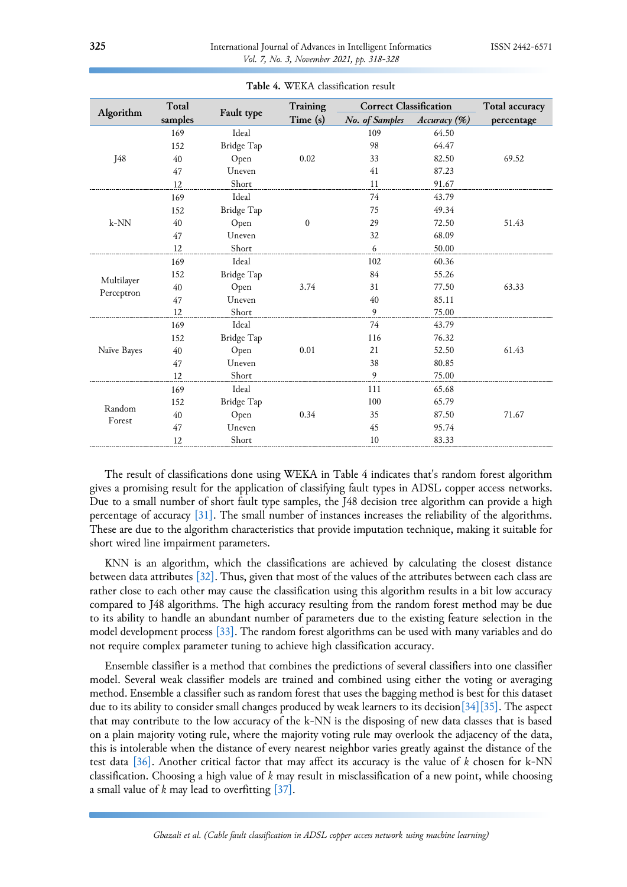<span id="page-7-0"></span>

|                  | Total<br>samples |            | Training     | <b>Correct Classification</b> |              | Total accuracy |
|------------------|------------------|------------|--------------|-------------------------------|--------------|----------------|
| Algorithm        |                  | Fault type | Time (s)     | No. of Samples                | Accuracy (%) | percentage     |
| J48              | 169              | Ideal      |              | 109                           | 64.50        |                |
|                  | 152              | Bridge Tap |              | 98                            | 64.47        |                |
|                  | 40               | Open       | 0.02         | 33                            | 82.50        | 69.52          |
|                  | 47               | Uneven     |              | 41                            | 87.23        |                |
|                  | 12               | Short      |              | 11                            | 91.67        |                |
|                  | 169              | Ideal      |              | 74                            | 43.79        |                |
|                  | 152              | Bridge Tap |              | 75                            | 49.34        |                |
| $k-NN$           | 40               | Open       | $\mathbf{0}$ | 29                            | 72.50        | 51.43          |
|                  | 47               | Uneven     |              | 32                            | 68.09        |                |
|                  | 12               | Short      |              | 6                             | 50.00        |                |
|                  | 169              | Ideal      |              | 102                           | 60.36        |                |
|                  | 152              | Bridge Tap | 3.74         | 84                            | 55.26        | 63.33          |
| Multilayer       | 40               | Open       |              | 31                            | 77.50        |                |
| Perceptron       | 47               | Uneven     |              | 40                            | 85.11        |                |
|                  | 12               | Short      |              | 9                             | 75.00        |                |
| Naïve Bayes      | 169              | Ideal      | 0.01         | 74                            | 43.79        | 61.43          |
|                  | 152              | Bridge Tap |              | 116                           | 76.32        |                |
|                  | 40               | Open       |              | 21                            | 52.50        |                |
|                  | 47               | Uneven     |              | 38                            | 80.85        |                |
|                  | 12               | Short      |              | 9                             | 75.00        |                |
| Random<br>Forest | 169              | Ideal      |              | 111                           | 65.68        |                |
|                  | 152              | Bridge Tap |              | 100                           | 65.79        |                |
|                  | 40               | Open       | 0.34         | 35                            | 87.50        | 71.67          |
|                  | 47               | Uneven     |              | 45                            | 95.74        |                |
|                  | 12               | Short      |              | 10                            | 83.33        |                |

**Table 4.** WEKA classification result

The result of classifications done using WEKA in Table 4 indicates that's random forest algorithm gives a promising result for the application of classifying fault types in ADSL copper access networks. Due to a small number of short fault type samples, the J48 decision tree algorithm can provide a high percentage of accuracy [\[31\].](#page-10-5) The small number of instances increases the reliability of the algorithms. These are due to the algorithm characteristics that provide imputation technique, making it suitable for short wired line impairment parameters.

KNN is an algorithm, which the classifications are achieved by calculating the closest distance between data attributes [\[32\].](#page-10-6) Thus, given that most of the values of the attributes between each class are rather close to each other may cause the classification using this algorithm results in a bit low accuracy compared to J48 algorithms. The high accuracy resulting from the random forest method may be due to its ability to handle an abundant number of parameters due to the existing feature selection in the model development process [\[33\].](#page-10-7) The random forest algorithms can be used with many variables and do not require complex parameter tuning to achieve high classification accuracy.

Ensemble classifier is a method that combines the predictions of several classifiers into one classifier model. Several weak classifier models are trained and combined using either the voting or averaging method. Ensemble a classifier such as random forest that uses the bagging method is best for this dataset due to its ability to consider small changes produced by weak learners to its decisio[n\[34\]](#page-10-8)[\[35\].](#page-10-9) The aspect that may contribute to the low accuracy of the k-NN is the disposing of new data classes that is based on a plain majority voting rule, where the majority voting rule may overlook the adjacency of the data, this is intolerable when the distance of every nearest neighbor varies greatly against the distance of the test data [\[36\].](#page-10-10) Another critical factor that may affect its accuracy is the value of *k* chosen for k-NN classification. Choosing a high value of *k* may result in misclassification of a new point, while choosing a small value of *k* may lead to overfitting [\[37\].](#page-10-11)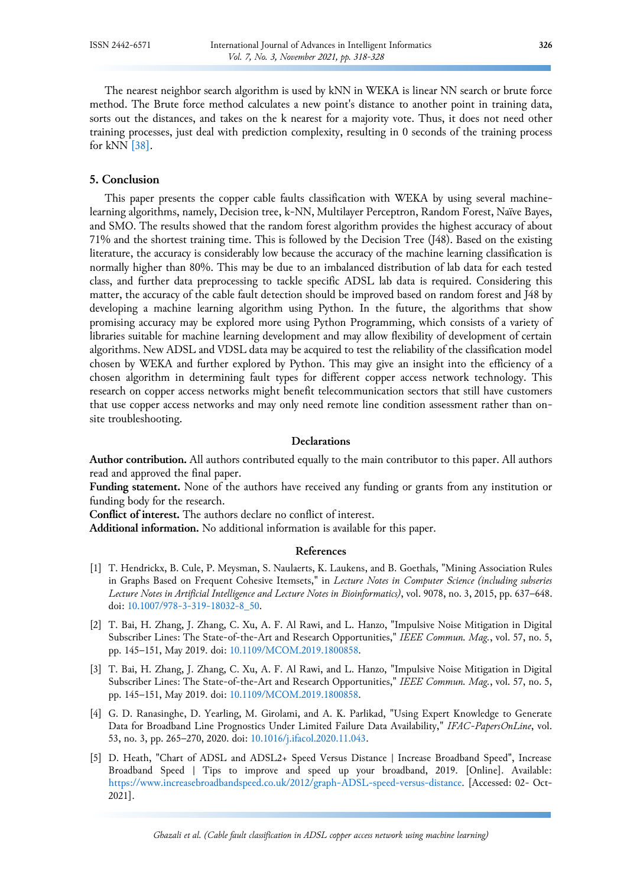The nearest neighbor search algorithm is used by kNN in WEKA is linear NN search or brute force method. The Brute force method calculates a new point's distance to another point in training data, sorts out the distances, and takes on the k nearest for a majority vote. Thus, it does not need other training processes, just deal with prediction complexity, resulting in 0 seconds of the training process for kNN [\[38\].](#page-10-12)

#### **5. Conclusion**

This paper presents the copper cable faults classification with WEKA by using several machinelearning algorithms, namely, Decision tree, k-NN, Multilayer Perceptron, Random Forest, Naïve Bayes, and SMO. The results showed that the random forest algorithm provides the highest accuracy of about 71% and the shortest training time. This is followed by the Decision Tree (J48). Based on the existing literature, the accuracy is considerably low because the accuracy of the machine learning classification is normally higher than 80%. This may be due to an imbalanced distribution of lab data for each tested class, and further data preprocessing to tackle specific ADSL lab data is required. Considering this matter, the accuracy of the cable fault detection should be improved based on random forest and J48 by developing a machine learning algorithm using Python. In the future, the algorithms that show promising accuracy may be explored more using Python Programming, which consists of a variety of libraries suitable for machine learning development and may allow flexibility of development of certain algorithms. New ADSL and VDSL data may be acquired to test the reliability of the classification model chosen by WEKA and further explored by Python. This may give an insight into the efficiency of a chosen algorithm in determining fault types for different copper access network technology. This research on copper access networks might benefit telecommunication sectors that still have customers that use copper access networks and may only need remote line condition assessment rather than onsite troubleshooting.

#### **Declarations**

**Author contribution.** All authors contributed equally to the main contributor to this paper. All authors read and approved the final paper.

**Funding statement.** None of the authors have received any funding or grants from any institution or funding body for the research.

**Conflict of interest.** The authors declare no conflict of interest.

**Additional information.** No additional information is available for this paper.

## **References**

- <span id="page-8-0"></span>[1] T. Hendrickx, B. Cule, P. Meysman, S. Naulaerts, K. Laukens, and B. Goethals, "Mining Association Rules in Graphs Based on Frequent Cohesive Itemsets," in *Lecture Notes in Computer Science (including subseries Lecture Notes in Artificial Intelligence and Lecture Notes in Bioinformatics)*, vol. 9078, no. 3, 2015, pp. 637–648. doi: [10.1007/978-3-319-18032-8\\_50.](https://doi.org/10.1007/978-3-319-18032-8_50)
- <span id="page-8-1"></span>[2] T. Bai, H. Zhang, J. Zhang, C. Xu, A. F. Al Rawi, and L. Hanzo, "Impulsive Noise Mitigation in Digital Subscriber Lines: The State-of-the-Art and Research Opportunities," *IEEE Commun. Mag.*, vol. 57, no. 5, pp. 145–151, May 2019. doi: [10.1109/MCOM.2019.1800858.](https://doi.org/10.1109/MCOM.2019.1800858)
- <span id="page-8-2"></span>[3] T. Bai, H. Zhang, J. Zhang, C. Xu, A. F. Al Rawi, and L. Hanzo, "Impulsive Noise Mitigation in Digital Subscriber Lines: The State-of-the-Art and Research Opportunities," *IEEE Commun. Mag.*, vol. 57, no. 5, pp. 145–151, May 2019. doi: [10.1109/MCOM.2019.1800858.](https://doi.org/10.1109/MCOM.2019.1800858)
- <span id="page-8-3"></span>[4] G. D. Ranasinghe, D. Yearling, M. Girolami, and A. K. Parlikad, "Using Expert Knowledge to Generate Data for Broadband Line Prognostics Under Limited Failure Data Availability," *IFAC-PapersOnLine*, vol. 53, no. 3, pp. 265–270, 2020. doi: [10.1016/j.ifacol.2020.11.043.](https://doi.org/10.1016/j.ifacol.2020.11.043)
- <span id="page-8-4"></span>[5] D. Heath, "Chart of ADSL and ADSL2+ Speed Versus Distance | Increase Broadband Speed", Increase Broadband Speed | Tips to improve and speed up your broadband, 2019. [Online]. Available: [https://www.increasebroadbandspeed.co.uk/2012/graph-ADSL-speed-versus-distance.](https://www.increasebroadbandspeed.co.uk/2012/graph-ADSL-speed-versus-distance) [Accessed: 02- Oct-2021].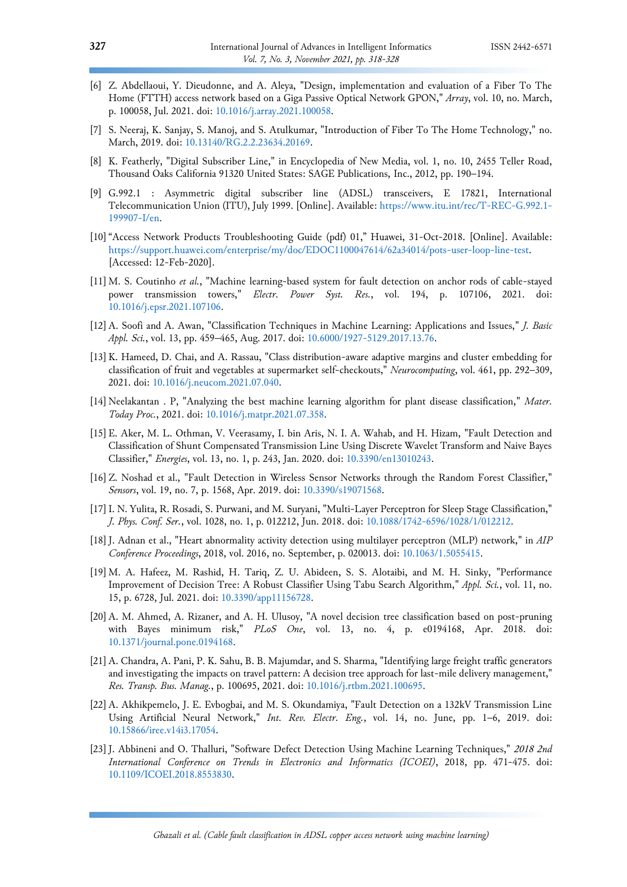- [6] Z. Abdellaoui, Y. Dieudonne, and A. Aleya, "Design, implementation and evaluation of a Fiber To The Home (FTTH) access network based on a Giga Passive Optical Network GPON," *Array*, vol. 10, no. March, p. 100058, Jul. 2021. doi: [10.1016/j.array.2021.100058.](https://doi.org/10.1016/j.array.2021.100058)
- [7] S. Neeraj, K. Sanjay, S. Manoj, and S. Atulkumar, "Introduction of Fiber To The Home Technology," no. March, 2019. doi: [10.13140/RG.2.2.23634.20169.](https://doi.org/10.13140/RG.2.2.23634.20169)
- <span id="page-9-0"></span>[8] K. Featherly, "Digital Subscriber Line," in Encyclopedia of New Media, vol. 1, no. 10, 2455 Teller Road, Thousand Oaks California 91320 United States: SAGE Publications, Inc., 2012, pp. 190–194.
- <span id="page-9-1"></span>[9] G.992.1 : Asymmetric digital subscriber line (ADSL) transceivers, E 17821, International Telecommunication Union (ITU), July 1999. [Online]. Available[: https://www.itu.int/rec/T-REC-G.992.1-](https://www.itu.int/rec/T-REC-G.992.1-199907-I/en) [199907-I/en.](https://www.itu.int/rec/T-REC-G.992.1-199907-I/en)
- <span id="page-9-2"></span>[10]"Access Network Products Troubleshooting Guide (pdf) 01," Huawei, 31-Oct-2018. [Online]. Available: [https://support.huawei.com/enterprise/my/doc/EDOC1100047614/62a34014/pots-user-loop-line-test.](https://support.huawei.com/enterprise/my/doc/EDOC1100047614/62a34014/pots-user-loop-line-test)  [Accessed: 12-Feb-2020].
- <span id="page-9-3"></span>[11] M. S. Coutinho *et al.*, "Machine learning-based system for fault detection on anchor rods of cable-stayed power transmission towers," *Electr. Power Syst. Res.*, vol. 194, p. 107106, 2021. doi: [10.1016/j.epsr.2021.107106.](https://doi.org/10.1016/j.epsr.2021.107106)
- <span id="page-9-4"></span>[12]A. Soofi and A. Awan, "Classification Techniques in Machine Learning: Applications and Issues," *J. Basic Appl. Sci.*, vol. 13, pp. 459–465, Aug. 2017. doi: [10.6000/1927-5129.2017.13.76.](https://doi.org/10.6000/1927-5129.2017.13.76)
- <span id="page-9-5"></span>[13] K. Hameed, D. Chai, and A. Rassau, "Class distribution-aware adaptive margins and cluster embedding for classification of fruit and vegetables at supermarket self-checkouts," *Neurocomputing*, vol. 461, pp. 292–309, 2021. doi: [10.1016/j.neucom.2021.07.040.](https://doi.org/10.1016/j.neucom.2021.07.040)
- <span id="page-9-6"></span>[14] Neelakantan . P, "Analyzing the best machine learning algorithm for plant disease classification," *Mater. Today Proc.*, 2021. doi: [10.1016/j.matpr.2021.07.358.](https://doi.org/10.1016/j.matpr.2021.07.358)
- <span id="page-9-7"></span>[15] E. Aker, M. L. Othman, V. Veerasamy, I. bin Aris, N. I. A. Wahab, and H. Hizam, "Fault Detection and Classification of Shunt Compensated Transmission Line Using Discrete Wavelet Transform and Naive Bayes Classifier," *Energies*, vol. 13, no. 1, p. 243, Jan. 2020. doi: [10.3390/en13010243.](https://doi.org/10.3390/en13010243)
- <span id="page-9-8"></span>[16] Z. Noshad et al., "Fault Detection in Wireless Sensor Networks through the Random Forest Classifier," *Sensors*, vol. 19, no. 7, p. 1568, Apr. 2019. doi: [10.3390/s19071568.](https://doi.org/10.3390/s19071568)
- <span id="page-9-9"></span>[17]I. N. Yulita, R. Rosadi, S. Purwani, and M. Suryani, "Multi-Layer Perceptron for Sleep Stage Classification," *J. Phys. Conf. Ser.*, vol. 1028, no. 1, p. 012212, Jun. 2018. doi: [10.1088/1742-6596/1028/1/012212.](https://doi.org/10.1088/1742-6596/1028/1/012212)
- <span id="page-9-10"></span>[18]J. Adnan et al., "Heart abnormality activity detection using multilayer perceptron (MLP) network," in *AIP Conference Proceedings*, 2018, vol. 2016, no. September, p. 020013. doi: [10.1063/1.5055415.](https://doi.org/10.1063/1.5055415)
- <span id="page-9-11"></span>[19] M. A. Hafeez, M. Rashid, H. Tariq, Z. U. Abideen, S. S. Alotaibi, and M. H. Sinky, "Performance Improvement of Decision Tree: A Robust Classifier Using Tabu Search Algorithm," *Appl. Sci.*, vol. 11, no. 15, p. 6728, Jul. 2021. doi: [10.3390/app11156728.](https://doi.org/10.3390/app11156728)
- <span id="page-9-12"></span>[20]A. M. Ahmed, A. Rizaner, and A. H. Ulusoy, "A novel decision tree classification based on post-pruning with Bayes minimum risk," *PLoS One*, vol. 13, no. 4, p. e0194168, Apr. 2018. doi: [10.1371/journal.pone.0194168.](https://doi.org/10.1371/journal.pone.0194168)
- <span id="page-9-13"></span>[21] A. Chandra, A. Pani, P. K. Sahu, B. B. Majumdar, and S. Sharma, "Identifying large freight traffic generators and investigating the impacts on travel pattern: A decision tree approach for last-mile delivery management," *Res. Transp. Bus. Manag.*, p. 100695, 2021. doi: [10.1016/j.rtbm.2021.100695.](https://doi.org/10.1016/j.rtbm.2021.100695)
- <span id="page-9-14"></span>[22]A. Akhikpemelo, J. E. Evbogbai, and M. S. Okundamiya, "Fault Detection on a 132kV Transmission Line Using Artificial Neural Network," *Int. Rev. Electr. Eng.*, vol. 14, no. June, pp. 1–6, 2019. doi: [10.15866/iree.v14i3.17054.](https://doi.org/10.15866/iree.v14i3.17054)
- <span id="page-9-15"></span>[23]J. Abbineni and O. Thalluri, "Software Defect Detection Using Machine Learning Techniques," *2018 2nd International Conference on Trends in Electronics and Informatics (ICOEI)*, 2018, pp. 471-475. doi: [10.1109/ICOEI.2018.8553830.](https://doi.org/10.1109/ICOEI.2018.8553830)